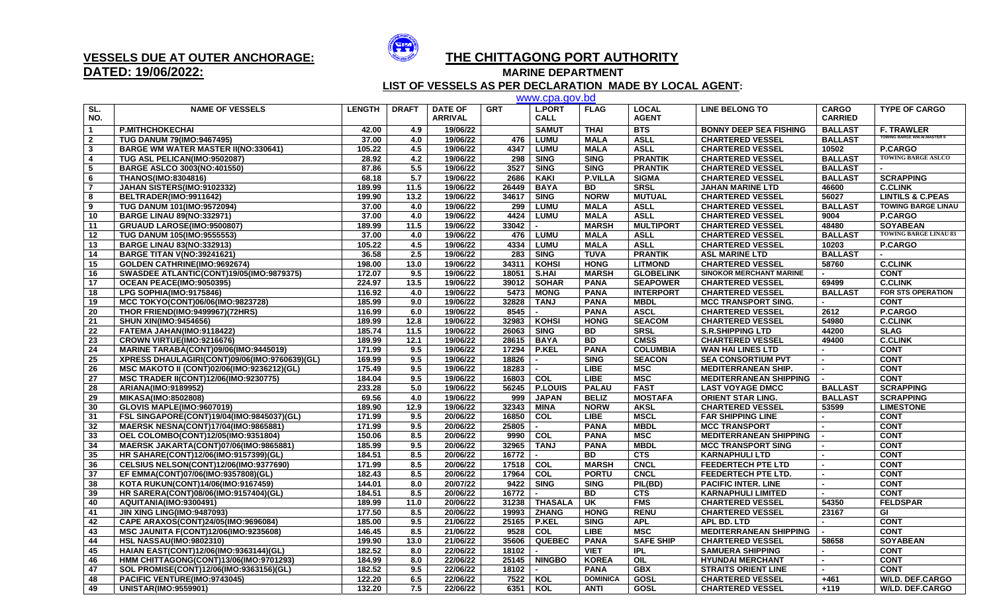

## **DATED: 19/06/2022:**

## **VESSELS DUE AT OUTER ANCHORAGE: THE CHITTAGONG PORT AUTHORITY**

**MARINE DEPARTMENT** 

 **LIST OF VESSELS AS PER DECLARATION MADE BY LOCAL AGENT:**

|                         |                                               |               |              |                |            | www.cpa.gov.bd   |                 |                  |                                |                          |                                 |
|-------------------------|-----------------------------------------------|---------------|--------------|----------------|------------|------------------|-----------------|------------------|--------------------------------|--------------------------|---------------------------------|
| SL.                     | <b>NAME OF VESSELS</b>                        | <b>LENGTH</b> | <b>DRAFT</b> | <b>DATE OF</b> | <b>GRT</b> | <b>L.PORT</b>    | <b>FLAG</b>     | <b>LOCAL</b>     | <b>LINE BELONG TO</b>          | <b>CARGO</b>             | <b>TYPE OF CARGO</b>            |
| NO.                     |                                               |               |              | <b>ARRIVAL</b> |            | <b>CALL</b>      |                 | <b>AGENT</b>     |                                | <b>CARRIED</b>           |                                 |
| $\overline{1}$          | <b>P.MITHCHOKECHAI</b>                        | 42.00         | 4.9          | 19/06/22       |            | <b>SAMUT</b>     | <b>THAI</b>     | <b>BTS</b>       | <b>BONNY DEEP SEA FISHING</b>  | <b>BALLAST</b>           | <b>F. TRAWLER</b>               |
| $\overline{\mathbf{2}}$ | <b>TUG DANUM 79(IMO:9467495)</b>              | 37.00         | 4.0          | 19/06/22       | 476        | <b>LUMU</b>      | <b>MALA</b>     | <b>ASLL</b>      | <b>CHARTERED VESSEL</b>        | <b>BALLAST</b>           | <b>TOWING BARGE WM.W.MASTER</b> |
| $\mathbf{3}$            | <b>BARGE WM WATER MASTER II(NO:330641)</b>    | 105.22        | 4.5          | 19/06/22       | 4347       | <b>LUMU</b>      | <b>MALA</b>     | <b>ASLL</b>      | <b>CHARTERED VESSEL</b>        | 10502                    | P.CARGO                         |
| 4                       | TUG ASL PELICAN(IMO:9502087)                  | 28.92         | 4.2          | 19/06/22       | 298        | <b>SING</b>      | <b>SING</b>     | <b>PRANTIK</b>   | <b>CHARTERED VESSEL</b>        | <b>BALLAST</b>           | <b>TOWING BARGE ASLCO</b>       |
| 5                       | <b>BARGE ASLCO 3003(NO:401550)</b>            | 87.86         | 5.5          | 19/06/22       | 3527       | <b>SING</b>      | <b>SING</b>     | <b>PRANTIK</b>   | <b>CHARTERED VESSEL</b>        | <b>BALLAST</b>           |                                 |
| 6                       | <b>THANOS(IMO:8304816)</b>                    | 68.18         | 5.7          | 19/06/22       | 2686       | <b>KAKI</b>      | <b>P.VILLA</b>  | <b>SIGMA</b>     | <b>CHARTERED VESSEL</b>        | <b>BALLAST</b>           | <b>SCRAPPING</b>                |
| $\overline{7}$          | JAHAN SISTERS(IMO:9102332)                    | 189.99        | 11.5         | 19/06/22       | 26449      | <b>BAYA</b>      | <b>BD</b>       | <b>SRSL</b>      | <b>JAHAN MARINE LTD</b>        | 46600                    | <b>C.CLINK</b>                  |
| 8                       | BELTRADER(IMO:9911642)                        | 199.90        | 13.2         | 19/06/22       | 34617      | <b>SING</b>      | <b>NORW</b>     | <b>MUTUAL</b>    | <b>CHARTERED VESSEL</b>        | 56027                    | <b>LINTILS &amp; C.PEAS</b>     |
| 9                       | <b>TUG DANUM 101(IMO:9572094)</b>             | 37.00         | 4.0          | 19/06/22       |            | 299 LUMU         | <b>MALA</b>     | <b>ASLL</b>      | <b>CHARTERED VESSEL</b>        | <b>BALLAST</b>           | <b>TOWING BARGE LINAU</b>       |
| 10                      | <b>BARGE LINAU 89(NO:332971)</b>              | 37.00         | 4.0          | 19/06/22       | 4424       | <b>LUMU</b>      | <b>MALA</b>     | <b>ASLL</b>      | <b>CHARTERED VESSEL</b>        | 9004                     | <b>P.CARGO</b>                  |
| 11                      | GRUAUD LAROSE(IMO:9500807)                    | 189.99        | 11.5         | 19/06/22       | 33042      | $\blacksquare$   | <b>MARSH</b>    | <b>MULTIPORT</b> | <b>CHARTERED VESSEL</b>        | 48480                    | <b>SOYABEAN</b>                 |
| 12                      | <b>TUG DANUM 105(IMO:9555553)</b>             | 37.00         | 4.0          | 19/06/22       |            | 476 LUMU         | <b>MALA</b>     | <b>ASLL</b>      | <b>CHARTERED VESSEL</b>        | <b>BALLAST</b>           | <b>TOWING BARGE LINAU 83</b>    |
| 13                      | <b>BARGE LINAU 83(NO:332913)</b>              | 105.22        | 4.5          | 19/06/22       | 4334       | <b>LUMU</b>      | <b>MALA</b>     | <b>ASLL</b>      | <b>CHARTERED VESSEL</b>        | 10203                    | <b>P.CARGO</b>                  |
| 14                      | <b>BARGE TITAN V(NO:39241621)</b>             | 36.58         | 2.5          | 19/06/22       | 283        | <b>SING</b>      | <b>TUVA</b>     | <b>PRANTIK</b>   | <b>ASL MARINE LTD</b>          | <b>BALLAST</b>           |                                 |
| 15                      | GOLDEN CATHRINE(IMO:9692674)                  | 198.00        | 13.0         | 19/06/22       | 34311      | KOHSI            | <b>HONG</b>     | <b>LITMOND</b>   | <b>CHARTERED VESSEL</b>        | 58760                    | <b>C.CLINK</b>                  |
| 16                      | SWASDEE ATLANTIC(CONT)19/05(IMO:9879375)      | 172.07        | 9.5          | 19/06/22       | 18051      | <b>S.HAI</b>     | <b>MARSH</b>    | <b>GLOBELINK</b> | <b>SINOKOR MERCHANT MARINE</b> | $\sim$                   | <b>CONT</b>                     |
| 17                      | OCEAN PEACE(IMO:9050395)                      | 224.97        | 13.5         | 19/06/22       | 39012      | <b>SOHAR</b>     | <b>PANA</b>     | <b>SEAPOWER</b>  | <b>CHARTERED VESSEL</b>        | 69499                    | <b>C.CLINK</b>                  |
| 18                      | LPG SOPHIA(IMO:9175846)                       | 116.92        | 4.0          | 19/06/22       | 5473       | <b>MONG</b>      | <b>PANA</b>     | <b>INTERPORT</b> | <b>CHARTERED VESSEL</b>        | <b>BALLAST</b>           | <b>FOR STS OPERATION</b>        |
| 19                      | MCC TOKYO(CONT)06/06(IMO:9823728)             | 185.99        | 9.0          | 19/06/22       | 32828      | <b>TANJ</b>      | <b>PANA</b>     | <b>MBDL</b>      | <b>MCC TRANSPORT SING.</b>     | $\sim$                   | <b>CONT</b>                     |
| 20                      | <b>THOR FRIEND(IMO:9499967)(72HRS)</b>        | 116.99        | 6.0          | 19/06/22       | 8545       | $\blacksquare$   | <b>PANA</b>     | <b>ASCL</b>      | <b>CHARTERED VESSEL</b>        | 2612                     | P.CARGO                         |
| 21                      | <b>SHUN XIN(IMO:9454656)</b>                  | 189.99        | 12.8         | 19/06/22       | 32983      | <b>KOHSI</b>     | <b>HONG</b>     | <b>SEACOM</b>    | <b>CHARTERED VESSEL</b>        | 54980                    | <b>C.CLINK</b>                  |
| 22                      | FATEMA JAHAN(IMO:9118422)                     | 185.74        | 11.5         | 19/06/22       | 26063      | <b>SING</b>      | <b>BD</b>       | <b>SRSL</b>      | <b>S.R.SHIPPING LTD</b>        | 44200                    | <b>SLAG</b>                     |
| 23                      | CROWN VIRTUE(IMO:9216676)                     | 189.99        | 12.1         | 19/06/22       | 28615      | <b>BAYA</b>      | <b>BD</b>       | <b>CMSS</b>      | <b>CHARTERED VESSEL</b>        | 49400                    | <b>C.CLINK</b>                  |
| 24                      | <b>MARINE TARABA(CONT)09/06(IMO:9445019)</b>  | 171.99        | 9.5          | 19/06/22       | 17294      | <b>P.KEL</b>     | <b>PANA</b>     | <b>COLUMBIA</b>  | <b>WAN HAI LINES LTD</b>       | $\blacksquare$           | <b>CONT</b>                     |
| 25                      | XPRESS DHAULAGIRI(CONT)09/06(IMO:9760639)(GL) | 169.99        | 9.5          | 19/06/22       | 18826      | $\sim$           | <b>SING</b>     | <b>SEACON</b>    | <b>SEA CONSORTIUM PVT</b>      | $\sim$                   | <b>CONT</b>                     |
| 26                      | MSC MAKOTO II (CONT)02/06(IMO:9236212)(GL)    | 175.49        | 9.5          | 19/06/22       | 18283      |                  | <b>LIBE</b>     | <b>MSC</b>       | <b>MEDITERRANEAN SHIP.</b>     |                          | <b>CONT</b>                     |
| 27                      | <b>MSC TRADER II(CONT)12/06(IMO:9230775)</b>  | 184.04        | 9.5          | 19/06/22       | 16803      | $\overline{col}$ | <b>LIBE</b>     | <b>MSC</b>       | <b>MEDITERRANEAN SHIPPING</b>  | $\overline{a}$           | <b>CONT</b>                     |
| 28                      | ARIANA(IMO:9189952)                           | 233.28        | 5.0          | 19/06/22       |            | 56245   P.LOUIS  | <b>PALAU</b>    | <b>FAST</b>      | <b>LAST VOYAGE DMCC</b>        | <b>BALLAST</b>           | <b>SCRAPPING</b>                |
| 29                      | <b>MIKASA(IMO:8502808)</b>                    | 69.56         | 4.0          | 19/06/22       | 999        | <b>JAPAN</b>     | <b>BELIZ</b>    | <b>MOSTAFA</b>   | <b>ORIENT STAR LING.</b>       | <b>BALLAST</b>           | <b>SCRAPPING</b>                |
| 30                      | GLOVIS MAPLE(IMO:9607019)                     | 189.90        | 12.9         | 19/06/22       | 32343      | <b>MINA</b>      | <b>NORW</b>     | <b>AKSL</b>      | <b>CHARTERED VESSEL</b>        | 53599                    | <b>LIMESTONE</b>                |
| 31                      | FSL SINGAPORE(CONT)19/04(IMO:9845037)(GL)     | 171.99        | 9.5          | 20/06/22       | 16850      | COL              | <b>LIBE</b>     | <b>MSCL</b>      | <b>FAR SHIPPING LINE</b>       | $\sim$                   | <b>CONT</b>                     |
| 32                      | MAERSK NESNA(CONT)17/04(IMO:9865881)          | 171.99        | 9.5          | 20/06/22       | 25805      | $\sim$           | <b>PANA</b>     | <b>MBDL</b>      | <b>MCC TRANSPORT</b>           |                          | <b>CONT</b>                     |
| 33                      | OEL COLOMBO(CONT)12/05(IMO:9351804)           | 150.06        | 8.5          | 20/06/22       | 9990       | COL              | <b>PANA</b>     | <b>MSC</b>       | <b>MEDITERRANEAN SHIPPING</b>  |                          | <b>CONT</b>                     |
| 34                      | MAERSK JAKARTA(CONT)07/06(IMO:9865881)        | 185.99        | 9.5          | 20/06/22       |            | 32965   TANJ     | <b>PANA</b>     | <b>MBDL</b>      | <b>MCC TRANSPORT SING</b>      |                          | <b>CONT</b>                     |
| 35                      | HR SAHARE(CONT)12/06(IMO:9157399)(GL)         | 184.51        | 8.5          | 20/06/22       | 16772      | $\sim$           | <b>BD</b>       | <b>CTS</b>       | <b>KARNAPHULI LTD</b>          | $\overline{a}$           | <b>CONT</b>                     |
| 36                      | CELSIUS NELSON(CONT)12/06(IMO:9377690)        | 171.99        | 8.5          | 20/06/22       | 17518 COL  |                  | <b>MARSH</b>    | <b>CNCL</b>      | <b>FEEDERTECH PTE LTD</b>      | $\sim$                   | <b>CONT</b>                     |
| 37                      | EF EMMA(CONT)07/06(IMO:9357808)(GL)           | 182.43        | 8.5          | 20/06/22       | 17964      | COL              | <b>PORTU</b>    | <b>CNCL</b>      | <b>FEEDERTECH PTE LTD.</b>     | $\blacksquare$           | <b>CONT</b>                     |
| 38                      | KOTA RUKUN(CONT)14/06(IMO:9167459)            | 144.01        | 8.0          | 20/07/22       | 9422       | <b>SING</b>      | <b>SING</b>     | PIL(BD)          | <b>PACIFIC INTER. LINE</b>     | $\sim$                   | <b>CONT</b>                     |
| 39                      | HR SARERA(CONT)08/06(IMO:9157404)(GL)         | 184.51        | 8.5          | 20/06/22       | 16772      | $\sim$           | <b>BD</b>       | <b>CTS</b>       | <b>KARNAPHULI LIMITED</b>      | $\mathbf{r}$             | <b>CONT</b>                     |
| 40                      | AQUITANIA(IMO:9300491)                        | 189.99        | 11.0         | 20/06/22       | 31238      | <b>THASALA</b>   | <b>UK</b>       | <b>FMS</b>       | <b>CHARTERED VESSEL</b>        | 54350                    | <b>FELDSPAR</b>                 |
| 41                      | JIN XING LING(IMO:9487093)                    | 177.50        | 8.5          | 20/06/22       | 19993      | <b>ZHANG</b>     | <b>HONG</b>     | <b>RENU</b>      | <b>CHARTERED VESSEL</b>        | 23167                    | GI                              |
| 42                      | CAPE ARAXOS(CONT)24/05(IMO:9696084)           | 185.00        | 9.5          | 21/06/22       |            | 25165   P.KEL    | <b>SING</b>     | <b>APL</b>       | APL BD. LTD                    | $\sim$                   | <b>CONT</b>                     |
| 43                      | <b>MSC JAUNITA F(CONT)12/06(IMO:9235608)</b>  | 146.45        | 8.5          | 21/06/22       | 9528       | COL              | <b>LIBE</b>     | MSC              | <b>MEDITERRANEAN SHIPPING</b>  | $\sim$                   | <b>CONT</b>                     |
| 44                      | <b>HSL NASSAU(IMO:9802310)</b>                | 199.90        | 13.0         | 21/06/22       | 35606      | <b>QUEBEC</b>    | <b>PANA</b>     | <b>SAFE SHIP</b> | <b>CHARTERED VESSEL</b>        | 58658                    | <b>SOYABEAN</b>                 |
| 45                      | HAIAN EAST(CONT)12/06(IMO:9363144)(GL)        | 182.52        | 8.0          | 22/06/22       | 18102      |                  | <b>VIET</b>     | <b>IPL</b>       | <b>SAMUERA SHIPPING</b>        | $\blacksquare$           | <b>CONT</b>                     |
| 46                      | HMM CHITTAGONG(CONT)13/06(IMO:9701293)        | 184.99        | 8.0          | 22/06/22       |            | 25145   NINGBO   | <b>KOREA</b>    | OIL              | <b>HYUNDAI MERCHANT</b>        | $\overline{\phantom{0}}$ | <b>CONT</b>                     |
| 47                      | SOL PROMISE(CONT)12/06(IMO:9363156)(GL)       | 182.52        | 9.5          | 22/06/22       | 18102      |                  | <b>PANA</b>     | <b>GBX</b>       | <b>STRAITS ORIENT LINE</b>     | $\sim$                   | <b>CONT</b>                     |
| 48                      | PACIFIC VENTURE(IMO:9743045)                  | 122.20        | 6.5          | 22/06/22       | 7522 KOL   |                  | <b>DOMINICA</b> | GOSL             | <b>CHARTERED VESSEL</b>        | $+461$                   | <b>W/LD. DEF.CARGO</b>          |
| 49                      | <b>UNISTAR(IMO:9559901)</b>                   | 132.20        | 7.5          | 22/06/22       |            | 6351   KOL       | <b>ANTI</b>     | <b>GOSL</b>      | <b>CHARTERED VESSEL</b>        | $+119$                   | <b>W/LD. DEF.CARGO</b>          |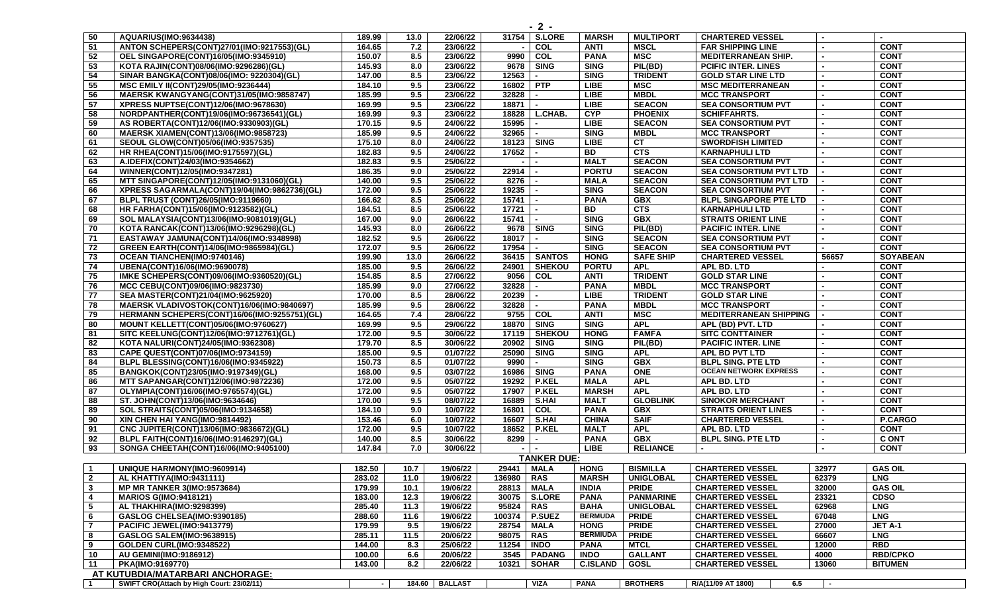| 50                      | AQUARIUS(IMO:9634438)                                                              | 189.99 | 13.0   | 22/06/22       |                 | 31754 S.LORE             | <b>MARSH</b>    | <b>MULTIPORT</b> | <b>CHARTERED VESSEL</b>       |        |                 |
|-------------------------|------------------------------------------------------------------------------------|--------|--------|----------------|-----------------|--------------------------|-----------------|------------------|-------------------------------|--------|-----------------|
| 51                      | ANTON SCHEPERS(CONT)27/01(IMO:9217553)(GL)                                         | 164.65 | 7.2    | 23/06/22       |                 | COL                      | <b>ANTI</b>     | <b>MSCL</b>      | <b>FAR SHIPPING LINE</b>      |        | <b>CONT</b>     |
| 52                      | OEL SINGAPORE(CONT)16/05(IMO:9345910)                                              | 150.07 | 8.5    | 23/06/22       | 9990            | COL                      | <b>PANA</b>     | <b>MSC</b>       | <b>MEDITERRANEAN SHIP.</b>    |        | <b>CONT</b>     |
|                         |                                                                                    |        |        |                |                 |                          |                 |                  |                               |        |                 |
| 53                      | KOTA RAJIN(CONT)08/06(IMO:9296286)(GL)                                             | 145.93 | 8.0    | 23/06/22       | 9678            | <b>SING</b>              | <b>SING</b>     | PIL(BD)          | <b>PCIFIC INTER. LINES</b>    |        | <b>CONT</b>     |
| 54                      | SINAR BANGKA(CONT)08/06(IMO: 9220304)(GL)                                          | 147.00 | 8.5    | 23/06/22       | 12563           |                          | <b>SING</b>     | <b>TRIDENT</b>   | <b>GOLD STAR LINE LTD</b>     |        | <b>CONT</b>     |
| 55                      | MSC EMILY II(CONT)29/05(IMO:9236444)                                               | 184.10 | 9.5    | 23/06/22       | 16802   PTP     |                          | <b>LIBE</b>     | <b>MSC</b>       | <b>MSC MEDITERRANEAN</b>      |        | <b>CONT</b>     |
| 56                      | MAERSK KWANGYANG(CONT)31/05(IMO:9858747)                                           | 185.99 | 9.5    | 23/06/22       | 32828           |                          | <b>LIBE</b>     | <b>MBDL</b>      | <b>MCC TRANSPORT</b>          |        | <b>CONT</b>     |
| 57                      | XPRESS NUPTSE(CONT)12/06(IMO:9678630)                                              | 169.99 | 9.5    | 23/06/22       | 18871           | $\overline{\phantom{a}}$ | <b>LIBE</b>     | <b>SEACON</b>    | <b>SEA CONSORTIUM PVT</b>     |        | <b>CONT</b>     |
| 58                      | NORDPANTHER(CONT)19/06(IMO:96736541)(GL)                                           | 169.99 | 9.3    | 23/06/22       | 18828           | L.CHAB.                  | <b>CYP</b>      | <b>PHOENIX</b>   | <b>SCHIFFAHRTS.</b>           |        | <b>CONT</b>     |
| $\overline{59}$         | AS ROBERTA(CONT)12/06(IMO:9330903)(GL)                                             | 170.15 | 9.5    | 24/06/22       | 15995           |                          | <b>LIBE</b>     | <b>SEACON</b>    | <b>SEA CONSORTIUM PVT</b>     |        | <b>CONT</b>     |
| 60                      | <b>MAERSK XIAMEN(CONT)13/06(IMO:9858723)</b>                                       | 185.99 | 9.5    | 24/06/22       | 32965           |                          | <b>SING</b>     | <b>MBDL</b>      | <b>MCC TRANSPORT</b>          |        | <b>CONT</b>     |
| 61                      | SEOUL GLOW(CONT)05/06(IMO:9357535)                                                 | 175.10 | 8.0    | 24/06/22       |                 | 18123 SING               | <b>LIBE</b>     | CT               | <b>SWORDFISH LIMITED</b>      |        | <b>CONT</b>     |
| 62                      | HR RHEA(CONT)15/06(IMO:9175597)(GL)                                                | 182.83 | 9.5    | 24/06/22       | 17652           |                          | <b>BD</b>       | <b>CTS</b>       | <b>KARNAPHULI LTD</b>         |        | <b>CONT</b>     |
| 63                      | A.IDEFIX(CONT)24/03(IMO:9354662)                                                   | 182.83 | 9.5    | 25/06/22       |                 |                          | <b>MALT</b>     | <b>SEACON</b>    | <b>SEA CONSORTIUM PVT</b>     |        | <b>CONT</b>     |
| 64                      | WINNER(CONT)12/05(IMO:9347281)                                                     | 186.35 | 9.0    | 25/06/22       | 22914           |                          | <b>PORTU</b>    | <b>SEACON</b>    | <b>SEA CONSORTIUM PVT LTD</b> |        | <b>CONT</b>     |
| 65                      | MTT SINGAPORE(CONT)12/05(IMO:9131060)(GL)                                          | 140.00 | 9.5    | 25/06/22       | 8276            |                          | <b>MALA</b>     | <b>SEACON</b>    | <b>SEA CONSORTIUM PVT LTD</b> |        | <b>CONT</b>     |
| 66                      | XPRESS SAGARMALA(CONT)19/04(IMO:9862736)(GL)                                       | 172.00 | 9.5    | 25/06/22       | 19235           |                          | <b>SING</b>     | <b>SEACON</b>    | <b>SEA CONSORTIUM PVT</b>     |        | <b>CONT</b>     |
| 67                      | BLPL TRUST (CONT)26/05(IMO:9119660)                                                | 166.62 | 8.5    | 25/06/22       | 15741           |                          | <b>PANA</b>     | <b>GBX</b>       | <b>BLPL SINGAPORE PTE LTD</b> |        | <b>CONT</b>     |
| 68                      | HR FARHA(CONT)15/06(IMO:9123582)(GL)                                               | 184.51 | 8.5    | 25/06/22       | 17721           | $\blacksquare$           | <b>BD</b>       | <b>CTS</b>       | <b>KARNAPHULI LTD</b>         |        | <b>CONT</b>     |
| 69                      | SOL MALAYSIA(CONT)13/06(IMO:9081019)(GL)                                           | 167.00 | 9.0    | 26/06/22       | 15741           | $\sim$                   | <b>SING</b>     | <b>GBX</b>       | <b>STRAITS ORIENT LINE</b>    |        | <b>CONT</b>     |
| 70                      | KOTA RANCAK(CONT)13/06(IMO:9296298)(GL)                                            | 145.93 | 8.0    | 26/06/22       |                 | 9678 SING                | <b>SING</b>     | PIL(BD)          | <b>PACIFIC INTER. LINE</b>    |        | <b>CONT</b>     |
| 71                      |                                                                                    | 182.52 | 9.5    | 26/06/22       | 18017           | $\overline{a}$           | <b>SING</b>     | <b>SEACON</b>    | <b>SEA CONSORTIUM PVT</b>     |        | <b>CONT</b>     |
| 72                      | EASTAWAY JAMUNA(CONT)14/06(IMO:9348998)<br>GREEN EARTH(CONT)14/06(IMO:9865984)(GL) | 172.07 | 9.5    | 26/06/22       | 17954           |                          | <b>SING</b>     | <b>SEACON</b>    | <b>SEA CONSORTIUM PVT</b>     |        | <b>CONT</b>     |
|                         |                                                                                    |        |        |                |                 |                          |                 |                  |                               |        |                 |
| 73                      | <b>OCEAN TIANCHEN(IMO:9740146)</b>                                                 | 199.90 | 13.0   | 26/06/22       |                 | 36415   SANTOS           | <b>HONG</b>     | <b>SAFE SHIP</b> | <b>CHARTERED VESSEL</b>       | 56657  | <b>SOYABEAN</b> |
| 74                      | UBENA(CONT)16/06(IMO:9690078)                                                      | 185.00 | 9.5    | 26/06/22       | 24901           | SHEKOU                   | <b>PORTU</b>    | <b>APL</b>       | APL BD. LTD                   |        | <b>CONT</b>     |
| 75                      | IMKE SCHEPERS(CONT)09/06(IMO:9360520)(GL)                                          | 154.85 | 8.5    | 27/06/22       | 9056            | <b>COL</b>               | <b>ANTI</b>     | <b>TRIDENT</b>   | <b>GOLD STAR LINE</b>         |        | <b>CONT</b>     |
| 76                      | MCC CEBU(CONT)09/06(IMO:9823730)                                                   | 185.99 | 9.0    | 27/06/22       | 32828           |                          | <b>PANA</b>     | <b>MBDL</b>      | <b>MCC TRANSPORT</b>          |        | <b>CONT</b>     |
| 77                      | SEA MASTER(CONT)21/04(IMO:9625920)                                                 | 170.00 | 8.5    | 28/06/22       | 20239           | $\blacksquare$           | <b>LIBE</b>     | <b>TRIDENT</b>   | <b>GOLD STAR LINE</b>         |        | <b>CONT</b>     |
| 78                      | MAERSK VLADIVOSTOK(CONT)16/06(IMO:9840697)                                         | 185.99 | 9.5    | 28/06/22       | 32828           | $\overline{\phantom{a}}$ | <b>PANA</b>     | <b>MBDL</b>      | <b>MCC TRANSPORT</b>          |        | <b>CONT</b>     |
| 79                      | HERMANN SCHEPERS(CONT)16/06(IMO:9255751)(GL)                                       | 164.65 | 7.4    | 28/06/22       |                 | 9755 COL                 | <b>ANTI</b>     | <b>MSC</b>       | <b>MEDITERRANEAN SHIPPING</b> |        | <b>CONT</b>     |
| 80                      | MOUNT KELLETT(CONT)05/06(IMO:9760627)                                              | 169.99 | 9.5    | 29/06/22       | 18870           | <b>SING</b>              | <b>SING</b>     | <b>APL</b>       | APL (BD) PVT. LTD             |        | <b>CONT</b>     |
| 81                      | SITC KEELUNG(CONT)12/06(IMO:9712761)(GL)                                           | 172.00 | 9.5    | 30/06/22       |                 | 17119   SHEKOU           | <b>HONG</b>     | <b>FAMFA</b>     | <b>SITC CONTTAINER</b>        |        | <b>CONT</b>     |
| 82                      | KOTA NALURI(CONT)24/05(IMO:9362308)                                                | 179.70 | 8.5    | 30/06/22       | 20902 SING      |                          | <b>SING</b>     | PIL(BD)          | <b>PACIFIC INTER. LINE</b>    |        | <b>CONT</b>     |
| 83                      | CAPE QUEST(CONT)07/06(IMO:9734159)                                                 | 185.00 | 9.5    | 01/07/22       | 25090           | <b>SING</b>              | <b>SING</b>     | <b>APL</b>       | APL BD PVT LTD                |        | <b>CONT</b>     |
| 84                      | <b>BLPL BLESSING(CONT)16/06(IMO:9345922)</b>                                       | 150.73 | 8.5    | 01/07/22       | 9990            | $\overline{a}$           | <b>SING</b>     | <b>GBX</b>       | <b>BLPL SING. PTE LTD</b>     |        | <b>CONT</b>     |
| 85                      | BANGKOK(CONT)23/05(IMO:9197349)(GL)                                                | 168.00 | 9.5    | 03/07/22       | 16986           | <b>SING</b>              | <b>PANA</b>     | <b>ONE</b>       | <b>OCEAN NETWORK EXPRESS</b>  |        | <b>CONT</b>     |
| 86                      | <b>MTT SAPANGAR(CONT)12/06(IMO:9872236)</b>                                        | 172.00 | 9.5    | 05/07/22       |                 | 19292 P.KEL              | <b>MALA</b>     | <b>APL</b>       | APL BD. LTD                   |        | <b>CONT</b>     |
| $\overline{87}$         | OLYMPIA(CONT)16/06(IMO:9765574)(GL)                                                | 172.00 | 9.5    | 05/07/22       | 17907           | $R$ .KEL                 | <b>MARSH</b>    | <b>APL</b>       | APL BD. LTD                   |        | <b>CONT</b>     |
| 88                      | ST. JOHN(CONT)13/06(IMO:9634646)                                                   | 170.00 | 9.5    | 08/07/22       | 16889           | S.HAI                    | <b>MALT</b>     | <b>GLOBLINK</b>  | <b>SINOKOR MERCHANT</b>       |        | <b>CONT</b>     |
| 89                      | SOL STRAITS(CONT)05/06(IMO:9134658)                                                | 184.10 | 9.0    | 10/07/22       | 16801           | COL                      | <b>PANA</b>     | <b>GBX</b>       | <b>STRAITS ORIENT LINES</b>   |        | <b>CONT</b>     |
| 90                      | XIN CHEN HAI YANG(IMO:9814492)                                                     | 153.46 | 6.0    | 10/07/22       | 16607           | S.HAI                    | <b>CHINA</b>    | <b>SAIF</b>      | <b>CHARTERED VESSEL</b>       |        | P.CARGO         |
|                         |                                                                                    |        |        |                |                 |                          |                 |                  |                               |        |                 |
| 91                      | CNC JUPITER(CONT)13/06(IMO:9836672)(GL)                                            | 172.00 | 9.5    | 10/07/22       | 18652           | P.KEL                    | <b>MALT</b>     | <b>APL</b>       | APL BD. LTD                   |        | <b>CONT</b>     |
| 92                      | BLPL FAITH(CONT)16/06(IMO:9146297)(GL)                                             | 140.00 | 8.5    | 30/06/22       | 8299            |                          | <b>PANA</b>     | <b>GBX</b>       | <b>BLPL SING. PTE LTD</b>     |        | <b>C ONT</b>    |
| 93                      | SONGA CHEETAH(CONT)16/06(IMO:9405100)                                              | 147.84 | 7.0    | 30/06/22       |                 |                          | <b>LIBE</b>     | <b>RELIANCE</b>  |                               |        | <b>CONT</b>     |
|                         |                                                                                    |        |        |                |                 | <b>TANKER DUE:</b>       |                 |                  |                               |        |                 |
| $\overline{1}$          | <b>UNIQUE HARMONY(IMO:9609914)</b>                                                 | 182.50 | 10.7   | 19/06/22       | 29441   MALA    |                          | <b>HONG</b>     | <b>BISMILLA</b>  | <b>CHARTERED VESSEL</b>       | 32977  | <b>GAS OIL</b>  |
| $\overline{\mathbf{2}}$ | AL KHATTIYA(IMO:9431111)                                                           | 283.02 | 11.0   | 19/06/22       | 136980 RAS      |                          | <b>MARSH</b>    | <b>UNIGLOBAL</b> | <b>CHARTERED VESSEL</b>       | 62379  | <b>LNG</b>      |
| $\mathbf{3}$            | <b>MP MR TANKER 3(IMO:9573684)</b>                                                 | 179.99 | 10.1   | 19/06/22       | 28813           | <b>MALA</b>              | <b>INDIA</b>    | <b>PRIDE</b>     | <b>CHARTERED VESSEL</b>       | 32000  | <b>GAS OIL</b>  |
| 4                       | <b>MARIOS G(IMO:9418121)</b>                                                       | 183.00 | 12.3   | 19/06/22       |                 | 30075   S.LORE           | <b>PANA</b>     | <b>PANMARINE</b> | <b>CHARTERED VESSEL</b>       | 23321  | <b>CDSO</b>     |
| $\sqrt{5}$              | AL THAKHIRA(IMO:9298399)                                                           | 285.40 | 11.3   | 19/06/22       | 95824 RAS       |                          | <b>BAHA</b>     | <b>UNIGLOBAL</b> | <b>CHARTERED VESSEL</b>       | 62968  | <b>LNG</b>      |
| $6\phantom{1}6$         | GASLOG CHELSEA(IMO:9390185)                                                        | 288.60 | 11.6   | 19/06/22       | 100374   P.SUEZ |                          | <b>BERMUDA</b>  | <b>PRIDE</b>     | <b>CHARTERED VESSEL</b>       | 67048  | <b>LNG</b>      |
| $\overline{7}$          | PACIFIC JEWEL(IMO:9413779)                                                         | 179.99 | 9.5    | 19/06/22       | 28754           | <b>MALA</b>              | <b>HONG</b>     | <b>PRIDE</b>     | <b>CHARTERED VESSEL</b>       | 27000  | JET A-1         |
| 8                       | <b>GASLOG SALEM(IMO:9638915)</b>                                                   | 285.11 | 11.5   | 20/06/22       | 98075           | <b>RAS</b>               | <b>BERMIUDA</b> | <b>PRIDE</b>     | <b>CHARTERED VESSEL</b>       | 66607  | <b>LNG</b>      |
| 9                       | GOLDEN CURL(IMO:9348522)                                                           | 144.00 | 8.3    | 25/06/22       | 11254           | <b>INDO</b>              | <b>PANA</b>     | <b>MTCL</b>      | <b>CHARTERED VESSEL</b>       | 12000  | <b>RBD</b>      |
| 10                      | <b>AU GEMINI(IMO:9186912)</b>                                                      | 100.00 | 6.6    | 20/06/22       |                 | 3545 PADANG              | <b>INDO</b>     | <b>GALLANT</b>   | <b>CHARTERED VESSEL</b>       | 4000   | <b>RBD/CPKO</b> |
| 11                      | PKA(IMO:9169770)                                                                   | 143.00 | 8.2    | 22/06/22       |                 | 10321   SOHAR            | <b>C.ISLAND</b> | <b>GOSL</b>      | <b>CHARTERED VESSEL</b>       | 13060  | <b>BITUMEN</b>  |
|                         |                                                                                    |        |        |                |                 |                          |                 |                  |                               |        |                 |
|                         | AT KUTUBDIA/MATARBARI ANCHORAGE:                                                   |        |        |                |                 |                          |                 |                  |                               |        |                 |
| $\mathbf{1}$            | SWIFT CRO(Attach by High Court: 23/02/11)                                          | $\sim$ | 184.60 | <b>BALLAST</b> |                 | <b>VIZA</b>              | <b>PANA</b>     | <b>BROTHERS</b>  | R/A(11/09 AT 1800)<br>6.5     | $\sim$ |                 |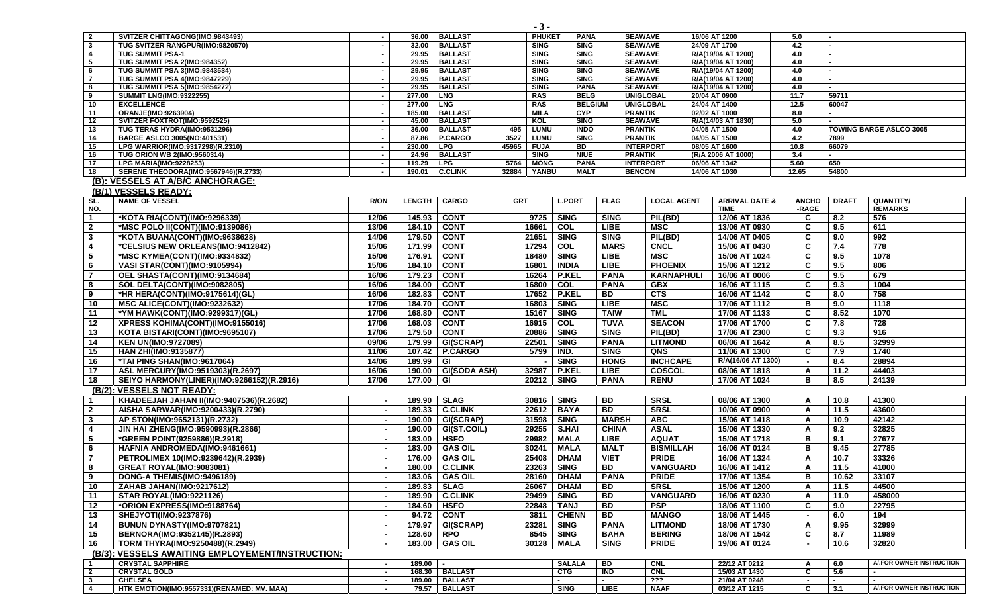| $\overline{2}$  | SVITZER CHITTAGONG(IMO:9843493)                                        | $\sim$                   |               | 36.00   BALLAST     | <b>PHUKET</b>             |               | <b>PANA</b>                | <b>SEAWAVE</b>                     | 16/06 AT 1200 |                           | 5.0                      |              |                                |
|-----------------|------------------------------------------------------------------------|--------------------------|---------------|---------------------|---------------------------|---------------|----------------------------|------------------------------------|---------------|---------------------------|--------------------------|--------------|--------------------------------|
| $\mathbf{3}$    | TUG SVITZER RANGPUR(IMO:9820570)                                       | <b>.</b>                 |               | 32.00   BALLAST     | <b>SING</b>               | <b>SING</b>   |                            | <b>SEAWAVE</b>                     | 24/09 AT 1700 |                           | 4.2                      |              |                                |
| $\overline{4}$  | <b>TUG SUMMIT PSA-1</b>                                                |                          |               | 29.95 BALLAST       | <b>SING</b>               | <b>SING</b>   |                            | <b>SEAWAVE</b>                     |               | R/A(19/04 AT 1200)        | 4.0                      |              |                                |
| 5               | TUG SUMMIT PSA 2(IMO:984352)                                           |                          |               | 29.95 BALLAST       | <b>SING</b>               | <b>SING</b>   |                            | <b>SEAWAVE</b>                     |               | R/A(19/04 AT 1200)        | 4.0                      |              |                                |
| 6               | <b>TUG SUMMIT PSA 3(IMO:9843534)</b>                                   | $\overline{\phantom{a}}$ |               | 29.95 BALLAST       | <b>SING</b>               | <b>SING</b>   |                            | <b>SEAWAVE</b>                     |               | R/A(19/04 AT 1200)        | 4.0                      |              |                                |
| $\overline{7}$  | <b>TUG SUMMIT PSA 4(IMO:9847229)</b>                                   | . .                      |               | 29.95   BALLAST     | <b>SING</b>               | <b>SING</b>   |                            | <b>SEAWAVE</b>                     |               | R/A(19/04 AT 1200)        | 4.0                      |              |                                |
| 8<br>9          | <b>TUG SUMMIT PSA 5(IMO:9854272)</b><br><b>SUMMIT LNG(IMO:9322255)</b> | $\overline{\phantom{a}}$ | 277.00   LNG  | 29.95   BALLAST     | <b>SING</b><br><b>RAS</b> |               | <b>PANA</b><br><b>BELG</b> | <b>SEAWAVE</b><br><b>UNIGLOBAL</b> | 20/04 AT 0900 | R/A(19/04 AT 1200)        | 4.0<br>11.7              | 59711        |                                |
| 10              | <b>EXCELLENCE</b>                                                      |                          | 277.00   LNG  |                     | <b>RAS</b>                |               | <b>BELGIUM</b>             | <b>UNIGLOBAL</b>                   | 24/04 AT 1400 |                           | 12.5                     | 60047        |                                |
| 11              | ORANJE(IMO:9263904)                                                    |                          |               | 185.00 BALLAST      | <b>MILA</b>               | <b>CYP</b>    |                            | <b>PRANTIK</b>                     | 02/02 AT 1000 |                           | 8.0                      |              |                                |
| 12              | SVITZER FOXTROT(IMO:9592525)                                           |                          |               | 45.00 BALLAST       | KOL                       | <b>SING</b>   |                            | <b>SEAWAVE</b>                     |               | R/A(14/03 AT 1830)        | 5.0                      |              |                                |
| 13              | TUG TERAS HYDRA(IMO:9531296)                                           | $\overline{\phantom{a}}$ |               | 36.00 BALLAST       | <b>LUMU</b><br>495        | <b>INDO</b>   |                            | <b>PRANTIK</b>                     | 04/05 AT 1500 |                           | 4.0                      |              | <b>TOWING BARGE ASLCO 3005</b> |
| 14              | <b>BARGE ASLCO 3005(NO:401531)</b>                                     | $\sim$                   |               | 87.86   P.CARGO     | 3527<br>LUMU              | <b>SING</b>   |                            | <b>PRANTIK</b>                     | 04/05 AT 1500 |                           | 4.2                      | 7899         |                                |
| 15              | LPG WARRIOR(IMO:9317298)(R.2310)                                       | $\overline{\phantom{a}}$ | 230.00   LPG  |                     | 45965<br><b>FUJA</b>      | BD            |                            | <b>INTERPORT</b>                   | 08/05 AT 1600 |                           | 10.8                     | 66079        |                                |
| 16              | TUG ORION WB 2(IMO:9560314)                                            |                          |               | 24.96   BALLAST     | <b>SING</b>               | <b>NIUE</b>   |                            | <b>PRANTIK</b>                     |               | (R/A 2006 AT 1000)        | 3.4                      |              |                                |
| 17              | <b>LPG MARIA(IMO:9228253)</b>                                          |                          | 119.29   LPG  |                     | 5764<br><b>MONG</b>       |               | <b>PANA</b>                | <b>INTERPORT</b>                   | 06/06 AT 1342 |                           | 5.60                     | 650          |                                |
| 18              | SERENE THEODORA(IMO:9567946)(R.2733)                                   |                          |               | 190.01   C.CLINK    | 32884<br>YANBU            | <b>MALT</b>   |                            | <b>BENCON</b>                      | 14/06 AT 1030 |                           | 12.65                    | 54800        |                                |
| (B):            | <b>VESSELS AT A/B/C ANCHORAGE:</b>                                     |                          |               |                     |                           |               |                            |                                    |               |                           |                          |              |                                |
| (B/1)           | <b>VESSELS READY:</b>                                                  |                          |               |                     |                           |               |                            |                                    |               |                           |                          |              |                                |
| SL.             | <b>NAME OF VESSEL</b>                                                  | <b>R/ON</b>              | <b>LENGTH</b> | <b>CARGO</b>        | <b>GRT</b>                | <b>L.PORT</b> | <b>FLAG</b>                | <b>LOCAL AGENT</b>                 |               | <b>ARRIVAL DATE &amp;</b> | <b>ANCHO</b>             | <b>DRAFT</b> | QUANTITY/                      |
| NO.             |                                                                        |                          |               |                     |                           |               |                            |                                    |               | <b>TIME</b>               | -RAGE                    |              | <b>REMARKS</b>                 |
| $\mathbf{1}$    | *KOTA RIA(CONT)(IMO:9296339)                                           | 12/06                    | 145.93        | <b>CONT</b>         | 9725                      | <b>SING</b>   | <b>SING</b>                | PIL(BD)                            |               | 12/06 AT 1836             | C                        | 8.2          | 576                            |
| $\mathbf{2}$    | *MSC POLO II(CONT)(IMO:9139086)                                        | 13/06                    | 184.10        | <b>CONT</b>         | 16661                     | COL           | <b>LIBE</b>                | <b>MSC</b>                         |               | 13/06 AT 0930             | C                        | 9.5          | 611                            |
| $\mathbf{3}$    | *KOTA BUANA(CONT)(IMO:9638628)                                         | 14/06                    | 179.50        | <b>CONT</b>         | 21651                     | <b>SING</b>   | <b>SING</b>                | PIL(BD)                            |               | 14/06 AT 0405             | C                        | 9.0          | 992                            |
| 4               | *CELSIUS NEW ORLEANS(IMO:9412842)                                      | 15/06                    | 171.99        | <b>CONT</b>         | 17294                     | <b>COL</b>    | <b>MARS</b>                | <b>CNCL</b>                        |               | 15/06 AT 0430             | C                        | 7.4          | 778                            |
|                 |                                                                        |                          |               |                     | 18480                     | <b>SING</b>   | <b>LIBE</b>                | <b>MSC</b>                         |               |                           | C                        |              | 1078                           |
| 5               | *MSC KYMEA(CONT)(IMO:9334832)                                          | 15/06                    | 176.91        | <b>CONT</b>         |                           |               |                            |                                    |               | 15/06 AT 1024             |                          | 9.5          |                                |
| $6\phantom{.}6$ | VASI STAR(CONT)(IMO:9105994)                                           | 15/06                    | 184.10        | <b>CONT</b>         | 16801                     | <b>INDIA</b>  | <b>LIBE</b>                | <b>PHOENIX</b>                     |               | 15/06 AT 1212             | C                        | 9.5          | 806                            |
| $\overline{7}$  | OEL SHASTA(CONT)(IMO:9134684)                                          | 16/06                    | 179.23        | <b>CONT</b>         | 16264                     | <b>P.KEL</b>  | <b>PANA</b>                | <b>KARNAPHULI</b>                  |               | 16/06 AT 0006             | C                        | 9.5          | 679                            |
| 8               | <b>SOL DELTA(CONT)(IMO:9082805)</b>                                    | 16/06                    | 184.00        | <b>CONT</b>         | 16800                     | COL           | <b>PANA</b>                | <b>GBX</b>                         |               | 16/06 AT 1115             | C                        | 9.3          | 1004                           |
| 9               | *HR HERA(CONT)(IMO:9175614)(GL)                                        | 16/06                    | 182.83        | <b>CONT</b>         | 17652                     | P.KEL         | <b>BD</b>                  | CTS                                |               | 16/06 AT 1142             | C                        | 8.0          | 758                            |
| 10              | MSC ALICE(CONT)(IMO:9232632)                                           | 17/06                    | 184.70        | <b>CONT</b>         | 16803                     | <b>SING</b>   | <b>LIBE</b>                | <b>MSC</b>                         |               | 17/06 AT 1112             | в                        | 9.0          | 1118                           |
| 11              | *YM HAWK(CONT)(IMO:9299317)(GL)                                        | 17/06                    | 168.80        | <b>CONT</b>         | 15167                     | <b>SING</b>   | <b>TAIW</b>                | <b>TML</b>                         |               | 17/06 AT 1133             | C                        | 8.52         | 1070                           |
| 12              | XPRESS KOHIMA(CONT)(IMO:9155016)                                       | 17/06                    | 168.03        | <b>CONT</b>         | 16915                     | <b>COL</b>    | <b>TUVA</b>                | <b>SEACON</b>                      |               | 17/06 AT 1700             | C                        | 7.8          | 728                            |
| 13              | KOTA BISTARI(CONT)(IMO:9695107)                                        | 17/06                    | 179.50        | <b>CONT</b>         | 20886                     | <b>SING</b>   | <b>SING</b>                | PIL(BD)                            |               | 17/06 AT 2300             | C                        | 9.3          | 916                            |
| 14              | <b>KEN UN(IMO:9727089)</b>                                             | 09/06                    | 179.99        | GI(SCRAP)           | 22501                     | <b>SING</b>   | <b>PANA</b>                | <b>LITMOND</b>                     |               | 06/06 AT 1642             | A                        | 8.5          | 32999                          |
| 15              | <b>HAN ZHI(IMO:9135877)</b>                                            | 11/06                    | 107.42        | <b>P.CARGO</b>      | 5799                      | IND.          | <b>SING</b>                | QNS                                |               | 11/06 AT 1300             | C                        | 7.9          | 1740                           |
| 16              | *TAI PING SHAN(IMO:9617064)                                            | 14/06                    | 189.99        | GI                  |                           | <b>SING</b>   | <b>HONG</b>                | <b>INCHCAPE</b>                    |               | R/A(16/06 AT 1300)        | $\overline{\phantom{a}}$ | 8.4          | 28894                          |
| 17              | ASL MERCURY(IMO:9519303)(R.2697)                                       | 16/06                    | 190.00        | <b>GI(SODA ASH)</b> | 32987                     | <b>P.KEL</b>  | <b>LIBE</b>                | COSCOL                             |               | 08/06 AT 1818             | A                        | 11.2         | 44403                          |
| 18              | SEIYO HARMONY(LINER)(IMO:9266152)(R.2916)                              | 17/06                    | 177.00        | GI                  | 20212                     | <b>SING</b>   | <b>PANA</b>                | <b>RENU</b>                        |               | 17/06 AT 1024             | в                        | 8.5          | 24139                          |
|                 |                                                                        |                          |               |                     |                           |               |                            |                                    |               |                           |                          |              |                                |
|                 | (B/2): VESSELS NOT READY:                                              |                          |               |                     |                           |               |                            |                                    |               |                           |                          |              |                                |
| $\mathbf 1$     | KHADEEJAH JAHAN II(IMO:9407536)(R.2682)                                |                          | 189.90        | <b>SLAG</b>         | 30816                     | <b>SING</b>   | $\overline{BD}$            | <b>SRSL</b>                        |               | 08/06 AT 1300             | A                        | 10.8         | 41300                          |
| $\overline{2}$  | AISHA SARWAR(IMO:9200433)(R.2790)                                      |                          |               | 189.33 C.CLINK      | 22612                     | <b>BAYA</b>   | BD                         | <b>SRSL</b>                        |               | 10/06 AT 0900             | $\mathsf{A}$             | 11.5         | 43600                          |
| $\mathbf{3}$    | AP STON(IMO:9652131)(R.2732)                                           |                          | 190.00        | GI(SCRAP)           | 31598                     | <b>SING</b>   | <b>MARSH</b>               | <b>ABC</b>                         |               | 15/06 AT 1418             | A                        | 10.9         | 42142                          |
| 4               | JIN HAI ZHENG(IMO:9590993)(R.2866)                                     |                          | 190.00        | GI(ST.COIL)         | 29255                     | S.HAI         | <b>CHINA</b>               | <b>ASAL</b>                        |               | 15/06 AT 1330             | Α                        | 9.2          | 32825                          |
| 5               | *GREEN POINT(9259886)(R.2918)                                          |                          | 183.00        | <b>HSFO</b>         | 29982                     | <b>MALA</b>   | <b>LIBE</b>                | <b>AQUAT</b>                       |               | 15/06 AT 1718             | в                        | 9.1          | 27677                          |
| 6               | HAFNIA ANDROMEDA(IMO:9461661)                                          |                          | 183.00        | <b>GAS OIL</b>      | 30241                     | <b>MALA</b>   | <b>MALT</b>                | <b>BISMILLAH</b>                   |               | 16/06 AT 0124             | в                        | 9.45         | 27785                          |
| $\overline{7}$  | PETROLIMEX 10(IMO:9239642)(R.2939)                                     |                          | 176.00        | <b>GAS OIL</b>      | 25408                     | <b>DHAM</b>   | <b>VIET</b>                | <b>PRIDE</b>                       |               | 16/06 AT 1324             | A                        | 10.7         | 33326                          |
| 8               | <b>GREAT ROYAL(IMO:9083081)</b>                                        |                          | 180.00        | <b>C.CLINK</b>      | 23263                     | <b>SING</b>   | <b>BD</b>                  | <b>VANGUARD</b>                    |               | 16/06 AT 1412             | Α                        | 11.5         | 41000                          |
| 9               | DONG-A THEMIS(IMO:9496189)                                             | $\blacksquare$           |               | 183.06 GAS OIL      | 28160                     | <b>DHAM</b>   | <b>PANA</b>                | <b>PRIDE</b>                       |               | 17/06 AT 1354             | В                        | 10.62        | 33107                          |
| 10              | ZAHAB JAHAN(IMO:9217612)                                               |                          |               | 189.83   SLAG       | 26067                     | <b>DHAM</b>   | BD                         | <b>SRSL</b>                        |               | 15/06 AT 1200             | A                        | 11.5         | 44500                          |
| 11              | <b>STAR ROYAL(IMO:9221126)</b>                                         |                          | 189.90        | <b>C.CLINK</b>      | 29499                     | <b>SING</b>   | <b>BD</b>                  | <b>VANGUARD</b>                    |               | 16/06 AT 0230             | A                        | 11.0         | 458000                         |
| 12              | *ORION EXPRESS(IMO:9188764)                                            |                          | 184.60        | <b>HSFO</b>         | 22848                     | <b>TANJ</b>   | <b>BD</b>                  | <b>PSP</b>                         |               | 18/06 AT 1100             | C                        | 9.0          | 22795                          |
|                 |                                                                        |                          |               |                     |                           |               |                            |                                    |               |                           |                          |              |                                |
| 13              | SHEJYOTI(IMO:9237876)                                                  |                          | 94.72         | <b>CONT</b>         | 3811                      | <b>CHENN</b>  | <b>BD</b>                  | <b>MANGO</b>                       |               | 18/06 AT 1445             | $\sim$                   | 6.0          | 194                            |
| 14              | BUNUN DYNASTY(IMO:9707821)                                             |                          | 179.97        | GI(SCRAP)           | 23281                     | <b>SING</b>   | <b>PANA</b>                | <b>LITMOND</b>                     |               | 18/06 AT 1730             | A                        | 9.95         | 32999                          |
| 15              | BERNORA(IMO:9352145)(R.2893)                                           |                          | 128.60 RPO    |                     | 8545                      | <b>SING</b>   | <b>BAHA</b>                | <b>BERING</b>                      |               | 18/06 AT 1542             | C                        | 8.7          | 11989                          |
| 16              | TORM THYRA(IMO:9250488)(R.2949)                                        |                          | 183.00        | <b>GAS OIL</b>      | 30128                     | MALA          | <b>SING</b>                | <b>PRIDE</b>                       |               | 19/06 AT 0124             |                          | 10.6         | 32820                          |
|                 | (B/3): VESSELS AWAITING EMPLOYEMENT/INSTRUCTION:                       |                          |               |                     |                           |               |                            |                                    |               |                           |                          |              |                                |
|                 | <b>CRYSTAL SAPPHIRE</b>                                                | $\sim$                   | $189.00 -$    |                     |                           | <b>SALALA</b> | BD                         | <b>CNL</b>                         |               | 22/12 AT 0212             | A                        | 6.0          | A/.FOR OWNER INSTRUCTION       |
| $\overline{2}$  | <b>CRYSTAL GOLD</b>                                                    | $\sim$                   |               | 168.30 BALLAST      |                           | <b>CTG</b>    | <b>IND</b>                 | <b>CNL</b>                         |               | 15/03 AT 1430             | C                        | 5.6          |                                |
| $\mathbf{3}$    | <b>CHELSEA</b>                                                         | $\blacksquare$           |               | 189.00 BALLAST      |                           |               |                            | $\overline{?}$                     |               | 21/04 AT 0248             | $\blacksquare$           | $\sim$       |                                |
| $\overline{4}$  | HTK EMOTION(IMO:9557331)(RENAMED: MV. MAA)                             | $\sim$                   |               | 79.57 BALLAST       |                           | <b>SING</b>   | <b>LIBE</b>                | <b>NAAF</b>                        |               | 03/12 AT 1215             | C                        | 3.1          | A/.FOR OWNER INSTRUCTION       |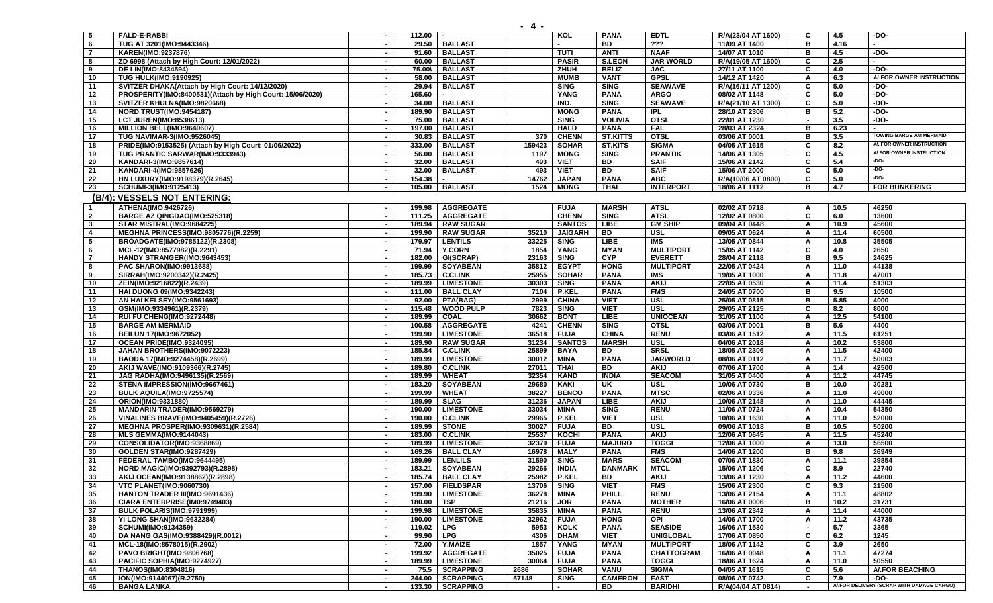| <b>5</b>                | <b>FALD-E-RABBI</b>                                       |                          | 112.00 |                    |        | KOL            | <b>PANA</b>     | <b>EDTL</b>        | R/A(23/04 AT 1600) | C              | 4.5  | $-DO-$                                    |
|-------------------------|-----------------------------------------------------------|--------------------------|--------|--------------------|--------|----------------|-----------------|--------------------|--------------------|----------------|------|-------------------------------------------|
| 6                       | TUG AT 3201(IMO:9443346)                                  |                          | 29.50  | <b>BALLAST</b>     |        |                | <b>BD</b>       | 222                | 11/09 AT 1400      | в              | 4.16 | $\overline{\phantom{a}}$                  |
| $\overline{7}$          | KAREN(IMO:9237876)                                        |                          | 91.60  | <b>BALLAST</b>     |        | <b>TUTI</b>    | <b>ANTI</b>     | <b>NAAF</b>        | 14/07 AT 1010      | в              | 4.5  | -DO-                                      |
| 8                       | ZD 6998 (Attach by High Court: 12/01/2022)                | $\sim$                   | 60.00  | <b>BALLAST</b>     |        | <b>PASIR</b>   | <b>S.LEON</b>   | <b>JAR WORLD</b>   | R/A(19/05 AT 1600) | C              | 2.5  |                                           |
| 9                       | DE LIN(IMO:8434594)                                       |                          | 75.00\ | <b>BALLAST</b>     |        | ZHUH           | <b>BELIZ</b>    | <b>JAC</b>         | 27/11 AT 1100      | C              | 4.0  | -DO-                                      |
| 10                      | <b>TUG HULK(IMO:9190925)</b>                              |                          | 58.00  | <b>BALLAST</b>     |        | <b>MUMB</b>    | <b>VANT</b>     | <b>GPSL</b>        | 14/12 AT 1420      | A              | 6.3  | A/.FOR OWNER INSTRUCTION                  |
| 11                      | SVITZER DHAKA(Attach by High Court: 14/12/2020)           |                          | 29.94  | <b>BALLAST</b>     |        | <b>SING</b>    | <b>SING</b>     | <b>SEAWAVE</b>     | R/A(16/11 AT 1200) | C              | 5.0  | $-DO-$                                    |
| $\overline{12}$         | PROSPERITY(IMO:8400531)(Attach by High Court: 15/06/2020) |                          | 165.60 |                    |        | <b>YANG</b>    | <b>PANA</b>     | <b>ARGO</b>        | 08/02 AT 1148      | C              | 5.0  | -DO-                                      |
| 13                      | SVITZER KHULNA(IMO:9820668)                               |                          | 34.00  | <b>BALLAST</b>     |        | IND.           | <b>SING</b>     | <b>SEAWAVE</b>     | R/A(21/10 AT 1300) | C              | 5.0  | $-DO-$                                    |
| 14                      | NORD TRUST(IMO:9454187)                                   |                          | 189.90 | <b>BALLAST</b>     |        | <b>MONG</b>    | <b>PANA</b>     | <b>IPL</b>         | 28/10 AT 2306      | в              | 5.2  | $-DO-$                                    |
| 15                      | <b>LCT JUREN(IMO:8538613)</b>                             | $\sim$                   | 75.00  | <b>BALLAST</b>     |        | <b>SING</b>    | <b>VOLIVIA</b>  | <b>OTSL</b>        | 22/01 AT 1230      | $\blacksquare$ | 3.5  | $-DO-$                                    |
| 16                      | MILLION BELL(IMO:9640607)                                 |                          | 197.00 | <b>BALLAST</b>     |        | <b>HALD</b>    | <b>PANA</b>     | <b>FAL</b>         | 28/03 AT 2324      | в              | 6.23 |                                           |
| 17                      |                                                           |                          |        |                    | 370    | <b>CHENN</b>   | <b>ST.KITTS</b> | <b>OTSL</b>        |                    | в              |      | <b>TOWING BARGE AM MERMAID</b>            |
|                         | <b>TUG NAVIMAR-3(IMO:9526045)</b>                         |                          | 30.83  | <b>BALLAST</b>     |        |                |                 |                    | 03/06 AT 0001      |                | 3.5  | A/. FOR OWNER INSTRUCTION                 |
| 18                      | PRIDE(IMO:9153525) (Attach by High Court: 01/06/2022)     |                          | 333.00 | <b>BALLAST</b>     | 159423 | <b>SOHAR</b>   | <b>ST.KITS</b>  | <b>SIGMA</b>       | 04/05 AT 1615      | C              | 8.2  | A/.FOR OWNER INSTRUCTION                  |
| 19                      | TUG PRANTIC SARWAR(IMO:9333943)                           |                          | 56.00  | <b>BALLAST</b>     | 1197   | <b>MONG</b>    | <b>SING</b>     | <b>PRANTIK</b>     | 14/06 AT 1305      | C              | 4.5  |                                           |
| 20                      | KANDARI-3(IMO:9857614)                                    |                          | 32.00  | <b>BALLAST</b>     | 493    | <b>VIET</b>    | <b>BD</b>       | <b>SAIF</b>        | 15/06 AT 2142      | C              | 5.4  | $-DO-$                                    |
| $\overline{21}$         | KANDARI-4(IMO:9857626)                                    |                          | 32.00  | <b>BALLAST</b>     | 493    | <b>VIET</b>    | <b>BD</b>       | <b>SAIF</b>        | 15/06 AT 2000      | C              | 5.0  | $-DO-$                                    |
| 22                      | HN LUXURY(IMO:9198379)(R.2645)                            | $\sim$                   | 154.38 |                    | 14762  | <b>JAPAN</b>   | <b>PANA</b>     | <b>ABC</b>         | R/A(10/06 AT 0800) | C              | 5.0  | $-DO-$                                    |
| 23                      | SCHUMI-3(IMO:9125413)                                     |                          | 105.00 | <b>BALLAST</b>     | 1524   | <b>MONG</b>    | <b>THAI</b>     | <b>INTERPORT</b>   | 18/06 AT 1112      | в              | 4.7  | <b>FOR BUNKERING</b>                      |
|                         | (B/4): VESSELS NOT ENTERING:                              |                          |        |                    |        |                |                 |                    |                    |                |      |                                           |
| $\overline{1}$          | <b>ATHENA(IMO:9426726)</b>                                |                          | 199.98 | <b>AGGREGATE</b>   |        | <b>FUJA</b>    | <b>MARSH</b>    | <b>ATSL</b>        | 02/02 AT 0718      | A              | 10.5 | 46250                                     |
| $\overline{\mathbf{2}}$ | BARGE AZ QINGDAO(IMO:525318)                              |                          | 111.25 | <b>AGGREGATE</b>   |        | <b>CHENN</b>   | <b>SING</b>     | <b>ATSL</b>        | 12/02 AT 0800      | C              | 6.0  | 13600                                     |
| $\mathbf{3}$            | STAR MISTRAL(IMO:9684225)                                 | $\overline{\phantom{a}}$ | 189.94 | <b>RAW SUGAR</b>   |        | <b>SANTOS</b>  | LIBE            | <b>GM SHIP</b>     | 09/04 AT 0448      | A              | 10.9 | 45600                                     |
| $\overline{\mathbf{4}}$ |                                                           |                          | 199.90 | <b>RAW SUGAR</b>   | 35210  | <b>JAIGARH</b> | BD              | <b>USL</b>         | 09/05 AT 0624      |                | 11.4 | 60500                                     |
|                         | <b>MEGHNA PRINCESS(IMO:9805776)(R.2259)</b>               |                          |        |                    |        |                |                 |                    |                    | A              |      |                                           |
| 5                       | BROADGATE(IMO:9785122)(R.2308)                            |                          | 179.97 | <b>LENTILS</b>     | 33225  | <b>SING</b>    | <b>LIBE</b>     | <b>IMS</b>         | 13/05 AT 0844      | A              | 10.8 | 35505                                     |
| 6                       | MCL-12(IMO:8577982)(R.2291)                               |                          | 71.94  | <b>Y.CORN</b>      | 1854   | YANG           | <b>MYAN</b>     | <b>MULTIPORT</b>   | 15/05 AT 1142      | C              | 4.0  | 2650                                      |
| $\overline{7}$          | HANDY STRANGER(IMO:9643453)                               |                          | 182.00 | GI(SCRAP)          | 23163  | <b>SING</b>    | CYP             | <b>EVERETT</b>     | 28/04 AT 2118      | в              | 9.5  | 24625                                     |
| 8                       | <b>PAC SHARON(IMO:9913688)</b>                            |                          | 199.99 | <b>SOYABEAN</b>    | 35812  | <b>EGYPT</b>   | <b>HONG</b>     | <b>MULTIPORT</b>   | 22/05 AT 0424      | A              | 11.0 | 44138                                     |
| 9                       | SIRRAH(IMO:9200342)(R.2425)                               |                          | 185.73 | <b>C.CLINK</b>     | 25955  | <b>SOHAR</b>   | <b>PANA</b>     | IMS                | 19/05 AT 1000      | A              | 11.8 | 47001                                     |
| 10                      | ZEIN(IMO:9216822)(R.2439)                                 |                          | 189.99 | <b>LIMESTONE</b>   | 30303  | <b>SING</b>    | <b>PANA</b>     | <b>AKIJ</b>        | 22/05 AT 0530      | A              | 11.4 | 51303                                     |
| 11                      | <b>HAI DUONG 09(IMO:9342243)</b>                          |                          | 111.00 | <b>BALL CLAY</b>   | 7104   | <b>P.KEL</b>   | <b>PANA</b>     | <b>FMS</b>         | 24/05 AT 0700      | В              | 9.5  | 10500                                     |
| 12                      | AN HAI KELSEY(IMO:9561693)                                |                          | 92.00  | PTA(BAG)           | 2999   | <b>CHINA</b>   | <b>VIET</b>     | <b>USL</b>         | 25/05 AT 0815      | В              | 5.85 | 4000                                      |
| 13                      | GSM(IMO:9334961)(R.2379)                                  |                          | 115.48 | <b>WOOD PULP</b>   | 7823   | <b>SING</b>    | <b>VIET</b>     | <b>USL</b>         | 29/05 AT 2125      | C              | 8.2  | 8000                                      |
| 14                      | RUI FU CHENG(IMO:9272448)                                 |                          | 189.99 | <b>COAL</b>        | 30662  | <b>BONT</b>    | <b>LIBE</b>     | <b>UNIOCEAN</b>    | 31/05 AT 1100      | A              | 12.5 | 54100                                     |
| 15                      | <b>BARGE AM MERMAID</b>                                   |                          | 100.58 | <b>AGGREGATE</b>   | 4241   | <b>CHENN</b>   | <b>SING</b>     | <b>OTSL</b>        | 03/06 AT 0001      | в              | 5.6  | 4400                                      |
| 16                      | BEILUN 17(IMO:9672052)                                    |                          | 199.90 | <b>LIMESTONE</b>   | 36518  | <b>FUJA</b>    | <b>CHINA</b>    | <b>RENU</b>        | 03/06 AT 1512      | A              | 11.5 | 61251                                     |
| 17                      | OCEAN PRIDE(IMO:9324095)                                  |                          | 189.90 | <b>RAW SUGAR</b>   | 31234  | <b>SANTOS</b>  | <b>MARSH</b>    | <b>USL</b>         | 04/06 AT 2018      | A              | 10.2 | 53800                                     |
| 18                      | JAHAN BROTHERS(IMO:9072223)                               |                          | 185.84 | <b>C.CLINK</b>     | 25899  | <b>BAYA</b>    | BD              | <b>SRSL</b>        | 18/05 AT 2306      | A              | 11.5 | 42400                                     |
| 19                      | BAODA 17(IMO:9274458)(R.2699)                             |                          | 189.99 | <b>LIMESTONE</b>   | 30012  | <b>MINA</b>    | <b>PANA</b>     | <b>JARWORLD</b>    | 08/06 AT 0112      | A              | 11.7 | 50003                                     |
| 20                      | AKIJ WAVE(IMO:9109366)(R.2745)                            |                          | 189.80 | <b>C.CLINK</b>     | 27011  | <b>THAI</b>    | <b>BD</b>       | <b>AKIJ</b>        | 07/06 AT 1700      | A              | 1.4  | 42500                                     |
| 21                      | JAG RADHA(IMO:9496135)(R.2569)                            |                          | 189.99 | <b>WHEAT</b>       | 32354  | <b>KAND</b>    | <b>INDIA</b>    | <b>SEACOM</b>      | 31/05 AT 0400      | A              | 11.2 | 44745                                     |
| $\overline{22}$         |                                                           |                          |        |                    | 29680  |                |                 |                    |                    | в              | 10.0 |                                           |
|                         | STENA IMPRESSION(IMO:9667461)                             |                          | 183.20 | <b>SOYABEAN</b>    |        | <b>KAKI</b>    | UK              | USL<br><b>MTSC</b> | 10/06 AT 0730      |                |      | 30281                                     |
| 23                      | BULK AQUILA(IMO:9725574)                                  | $\overline{\phantom{a}}$ | 199.99 | <b>WHEAT</b>       | 38227  | <b>BENCO</b>   | <b>PANA</b>     |                    | 02/06 AT 0336      | A              | 11.0 | 49000                                     |
| 24                      | ORION(IMO:9331880)                                        |                          | 189.99 | <b>SLAG</b>        | 31236  | <b>JAPAN</b>   | <b>LIBE</b>     | <b>AKIJ</b>        | 10/06 AT 2148      | A              | 11.0 | 44445                                     |
| 25                      | <b>MANDARIN TRADER(IMO:9569279)</b>                       |                          | 190.00 | <b>LIMESTONE</b>   | 33034  | <b>MINA</b>    | <b>SING</b>     | <b>RENU</b>        | 11/06 AT 0724      | A              | 10.4 | 54350                                     |
| 26                      | <b>VINALINES BRAVE(IMO:9405459)(R.2726)</b>               |                          | 190.00 | <b>C.CLINK</b>     | 29965  | <b>P.KEL</b>   | <b>VIET</b>     | <b>USL</b>         | 10/06 AT 1630      | A              | 11.0 | 52000                                     |
| 27                      | MEGHNA PROSPER(IMO:9309631)(R.2584)                       |                          | 189.99 | <b>STONE</b>       | 30027  | <b>FUJA</b>    | <b>BD</b>       | USL                | 09/06 AT 1018      | в              | 10.5 | 50200                                     |
| 28                      | <b>MLS GEMMA(IMO:9144043)</b>                             |                          | 183.00 | <b>C.CLINK</b>     | 25537  | KOCHI          | <b>PANA</b>     | <b>AKIJ</b>        | 12/06 AT 0645      | A              | 11.5 | 45240                                     |
| $\overline{29}$         | CONSOLIDATOR(IMO:9368869)                                 |                          | 189.99 | <b>LIMESTONE</b>   | 32379  | <b>FUJA</b>    | <b>MAJURO</b>   | <b>TOGGI</b>       | 12/06 AT 1000      | A              | 13.0 | 56500                                     |
| 30                      | <b>GOLDEN STAR(IMO:9287429)</b>                           |                          | 169.26 | <b>BALL CLAY</b>   | 16978  | <b>MALY</b>    | <b>PANA</b>     | <b>FMS</b>         | 14/06 AT 1200      | B              | 9.8  | 26949                                     |
| 31                      | FEDERAL TAMBO(IMO:9644495)                                |                          | 189.99 | <b>LENLILS</b>     | 31590  | <b>SING</b>    | <b>MARS</b>     | <b>SEACOM</b>      | 07/06 AT 1830      | Α              | 11.1 | 39854                                     |
| 32                      | NORD MAGIC(IMO:9392793)(R.2898)                           |                          |        | 183.21   SOYABEAN  |        | 29266 INDIA    | <b>DANMARK</b>  | <b>MTCL</b>        | 15/06 AT 1206      | C              | 8.9  | 22740                                     |
| 33                      | AKIJ OCEAN(IMO:9138862)(R.2898)                           | $\overline{\phantom{a}}$ | 185.74 | <b>BALL CLAY</b>   | 25982  | <b>P.KEL</b>   | <b>BD</b>       | <b>AKIJ</b>        | 13/06 AT 1230      | A              | 11.2 | 44600                                     |
| 34                      | <b>VTC PLANET(IMO:9060730)</b>                            |                          | 157.00 | <b>FIELDSPAR</b>   | 13706  | <b>SING</b>    | <b>VIET</b>     | <b>FMS</b>         | 15/06 AT 2300      | C              | 9.3  | 21500                                     |
| 35                      | <b>HANTON TRADER III(IMO:9691436)</b>                     |                          | 199.90 | <b>LIMESTONE</b>   | 36278  | MINA           | PHILL           | <b>RENU</b>        | 13/06 AT 2154      | A              | 11.1 | 48802                                     |
| 36                      | CIARA ENTERPRISE(IM0:9749403)                             |                          | 180.00 | TSP                | 21216  | <b>JOR</b>     | <b>PANA</b>     | <b>MOTHER</b>      | 16/06 AT 0006      | В              | 10.2 | 31731                                     |
| 37                      | BULK POLARIS(IMO:9791999)                                 | $\overline{\phantom{a}}$ | 199.98 | <b>LIMESTONE</b>   | 35835  | <b>MINA</b>    | <b>PANA</b>     | <b>RENU</b>        | 13/06 AT 2342      | Α              | 11.4 | 44000                                     |
| 38                      | YI LONG SHAN(IMO:9632284)                                 | $\sim$                   | 190.00 | <b>LIMESTONE</b>   | 32962  | <b>FUJA</b>    | <b>HONG</b>     | OPI                | 14/06 AT 1700      | Α              | 11.2 | 43735                                     |
| 39                      | SCHUMI(IMO:9134359)                                       | $\overline{\phantom{a}}$ | 119.02 | <b>LPG</b>         | 5953   | <b>KOLK</b>    | <b>PANA</b>     | <b>SEASIDE</b>     | 16/06 AT 1530      | $\blacksquare$ | 5.7  | 3365                                      |
| 40                      | DA NANG GAS(IMO:9388429)(R.0012)                          |                          | 99.90  | <b>LPG</b>         | 4306   | <b>DHAM</b>    | <b>VIET</b>     | <b>UNIGLOBAL</b>   | 17/06 AT 0850      | C              | 6.2  | 1245                                      |
|                         | MCL-18(IMO:8578015)(R.2902)                               |                          |        |                    |        |                |                 | <b>MULTIPORT</b>   |                    |                |      |                                           |
| 41                      |                                                           |                          | 72.00  | Y.MAIZE            | 1857   | <b>YANG</b>    | <b>MYAN</b>     |                    | 18/06 AT 1142      | C              | 3.9  | 2650                                      |
| 42                      | PAVO BRIGHT(IMO:9806768)                                  |                          | 199.92 | <b>AGGREGATE</b>   | 35025  | <b>FUJA</b>    | <b>PANA</b>     | <b>CHATTOGRAM</b>  | 16/06 AT 0048      | A              | 11.1 | 47274                                     |
| 43                      | PACIFIC SOPHIA(IMO:9274927)                               | $\sim$                   | 189.99 | <b>LIMESTONE</b>   | 30064  | <b>FUJA</b>    | <b>PANA</b>     | <b>TOGGI</b>       | 18/06 AT 1624      | A              | 11.0 | 50550                                     |
| 44                      | <b>THANOS(IMO:8304816)</b>                                | $\sim$                   | 75.5   | <b>SCRAPPING</b>   | 2686   | <b>SOHAR</b>   | <b>VANU</b>     | <b>SIGMA</b>       | 04/05 AT 1615      | C              | 5.6  | A/.FOR BEACHING                           |
| 45                      | ION(IMO:9144067)(R.2750)                                  | $\sim$                   |        | 244.00   SCRAPPING | 57148  | <b>SING</b>    | <b>CAMERON</b>  | <b>FAST</b>        | 08/06 AT 0742      | C              | 7.9  | -DO-                                      |
| 46                      | <b>BANGA LANKA</b>                                        |                          | 133.30 | <b>SCRAPPING</b>   |        |                | BD              | <b>BARIDHI</b>     | R/A(04/04 AT 0814) | $\sim$         |      | A/.FOR DELIVERY (SCRAP WITH DAMAGE CARGO) |